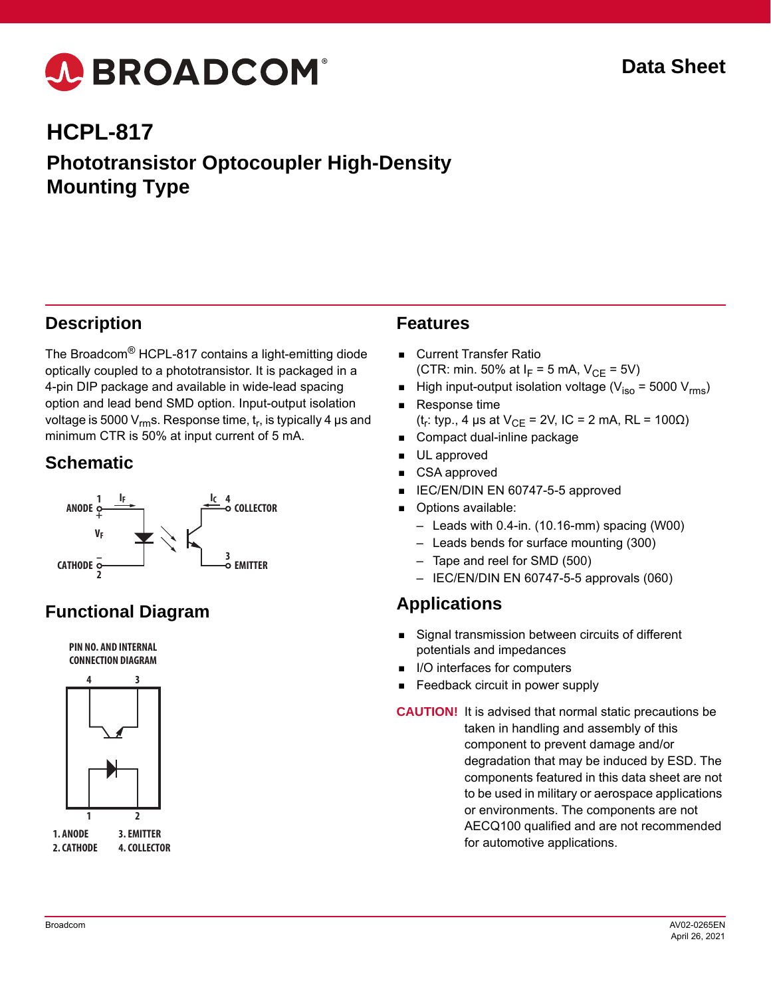# A BROADCOM®

## **HCPL-817 Phototransistor Optocoupler High-Density Mounting Type**

#### **Description**

The Broadcom® HCPL-817 contains a light-emitting diode optically coupled to a phototransistor. It is packaged in a 4-pin DIP package and available in wide-lead spacing option and lead bend SMD option. Input-output isolation voltage is 5000  $V_{rm}$ s. Response time,  $t_r$ , is typically 4 µs and minimum CTR is 50% at input current of 5 mA.

#### **Schematic**



### **Functional Diagram**





#### **Features**

- Current Transfer Ratio (CTR: min. 50% at  $I_F = 5$  mA,  $V_{CF} = 5V$ )
- High input-output isolation voltage ( $V_{iso}$  = 5000  $V_{rms}$ )
- Response time
	- (t<sub>r</sub>: typ., 4 µs at  $V_{CE}$  = 2V, IC = 2 mA, RL = 100 $\Omega$ )
- Compact dual-inline package
- **UL** approved
- CSA approved
- IEC/EN/DIN EN 60747-5-5 approved
- Options available:
	- Leads with 0.4-in. (10.16-mm) spacing (W00)
	- Leads bends for surface mounting (300)
	- Tape and reel for SMD (500)
	- IEC/EN/DIN EN 60747-5-5 approvals (060)

#### **Applications**

- Signal transmission between circuits of different potentials and impedances
- $\blacksquare$  I/O interfaces for computers
- **Feedback circuit in power supply**
- **CAUTION!** It is advised that normal static precautions be taken in handling and assembly of this component to prevent damage and/or degradation that may be induced by ESD. The components featured in this data sheet are not to be used in military or aerospace applications or environments. The components are not AECQ100 qualified and are not recommended for automotive applications.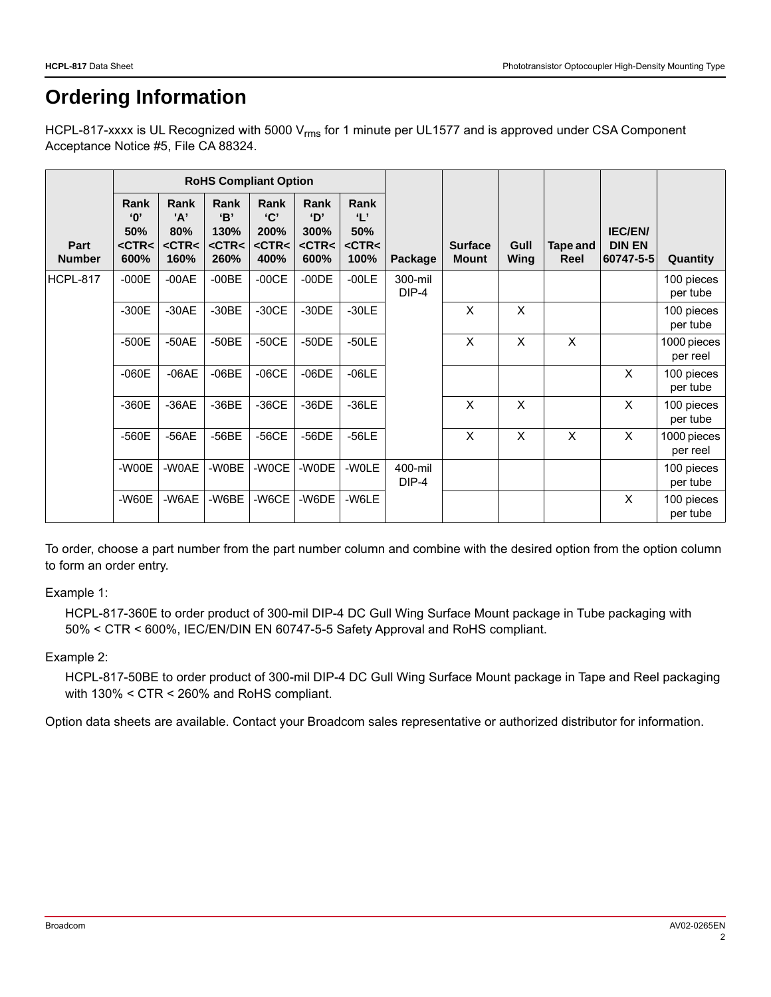### **Ordering Information**

HCPL-817-xxxx is UL Recognized with 5000 V<sub>rms</sub> for 1 minute per UL1577 and is approved under CSA Component Acceptance Notice #5, File CA 88324.

|                       | <b>RoHS Compliant Option</b>                        |                                           |                                           |                                          |                                           |                                                    |                                        |                                |              |                  |                                              |                         |
|-----------------------|-----------------------------------------------------|-------------------------------------------|-------------------------------------------|------------------------------------------|-------------------------------------------|----------------------------------------------------|----------------------------------------|--------------------------------|--------------|------------------|----------------------------------------------|-------------------------|
| Part<br><b>Number</b> | Rank<br>$^{\circ}$ O'<br>50%<br>$<$ CTR $<$<br>600% | Rank<br>'A'<br>80%<br>$<$ CTR $<$<br>160% | Rank<br>B'<br>130%<br>$<$ CTR $<$<br>260% | Rank<br>C<br>200%<br>$<$ CTR $<$<br>400% | Rank<br>D'<br>300%<br>$<$ CTR $<$<br>600% | Rank<br>$\mathbf{L}$<br>50%<br>$<$ CTR $<$<br>100% | Package                                | <b>Surface</b><br><b>Mount</b> | Gull<br>Wing | Tape and<br>Reel | <b>IEC/EN/</b><br><b>DIN EN</b><br>60747-5-5 | Quantity                |
| HCPL-817              | $-000E$                                             | $-00AE$                                   | $-00BE$                                   | $-00CE$                                  | $-00DE$                                   | $-00LE$                                            | 300-mil<br>$DIP-4$<br>400-mil<br>DIP-4 |                                |              |                  |                                              | 100 pieces<br>per tube  |
|                       | $-300E$                                             | $-30AE$                                   | $-30BE$                                   | $-30CE$                                  | $-30DE$                                   | $-30LE$                                            |                                        | X                              | X            |                  |                                              | 100 pieces<br>per tube  |
|                       | $-500E$                                             | $-50AE$                                   | $-50BE$                                   | $-50CE$                                  | $-50DE$                                   | $-50LE$                                            |                                        | X                              | X            | X                |                                              | 1000 pieces<br>per reel |
|                       | $-060E$                                             | $-06AE$                                   | $-06BE$                                   | $-06CE$                                  | $-06DE$                                   | $-06LE$                                            |                                        |                                |              |                  | X                                            | 100 pieces<br>per tube  |
|                       | $-360E$                                             | $-36AE$                                   | $-36BE$                                   | $-36CE$                                  | $-36DE$                                   | $-36LE$                                            |                                        | X                              | X            |                  | X                                            | 100 pieces<br>per tube  |
|                       | $-560E$                                             | $-56AE$                                   | $-56BE$                                   | $-56CE$                                  | $-56DE$                                   | $-56LE$                                            |                                        | X                              | X            | X                | X                                            | 1000 pieces<br>per reel |
|                       | -W00E                                               | -W0AE                                     | -W0BE                                     | -W0CE                                    | -W0DE                                     | -WOLE                                              |                                        |                                |              |                  |                                              | 100 pieces<br>per tube  |
|                       | $-W60E$                                             | -W6AE                                     | -W6BE                                     | -W6CE                                    | -W6DE                                     | -W6LE                                              |                                        |                                |              |                  | X                                            | 100 pieces<br>per tube  |

To order, choose a part number from the part number column and combine with the desired option from the option column to form an order entry.

#### Example 1:

HCPL-817-360E to order product of 300-mil DIP-4 DC Gull Wing Surface Mount package in Tube packaging with 50% < CTR < 600%, IEC/EN/DIN EN 60747-5-5 Safety Approval and RoHS compliant.

#### Example 2:

HCPL-817-50BE to order product of 300-mil DIP-4 DC Gull Wing Surface Mount package in Tape and Reel packaging with 130% < CTR < 260% and RoHS compliant.

Option data sheets are available. Contact your Broadcom sales representative or authorized distributor for information.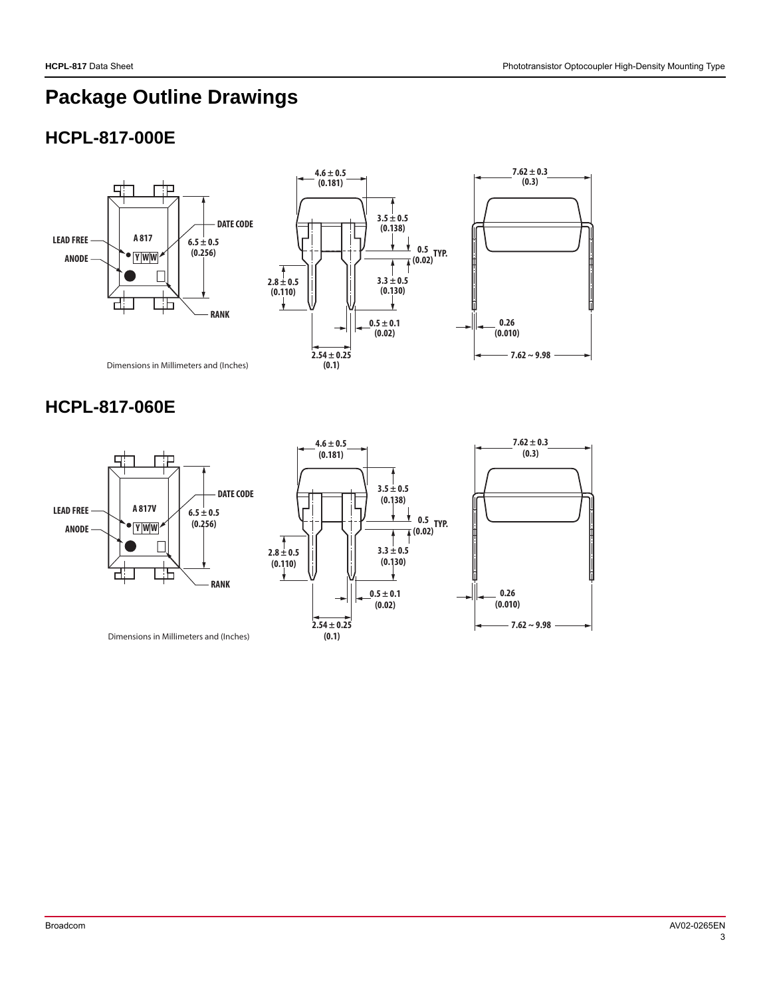### **Package Outline Drawings**

#### **HCPL-817-000E**





Dimensions in Millimeters and (Inches)

#### **HCPL-817-060E**



**4.6 ± 0.5 (0.181) 2.54 ± 0.25 (0.1) 3.5 ± 0.5 (0.138) 7.62 ± 0.3 (0.3) 0.26 (0.010) 7.62 ~ 9.98 2.8 ± 0.5 (0.110) 3.3 ± 0.5 (0.130)**  $0.5 \pm 0.1$ **(0.02) 0.5 TYP. (0.02)**

Dimensions in Millimeters and (Inches)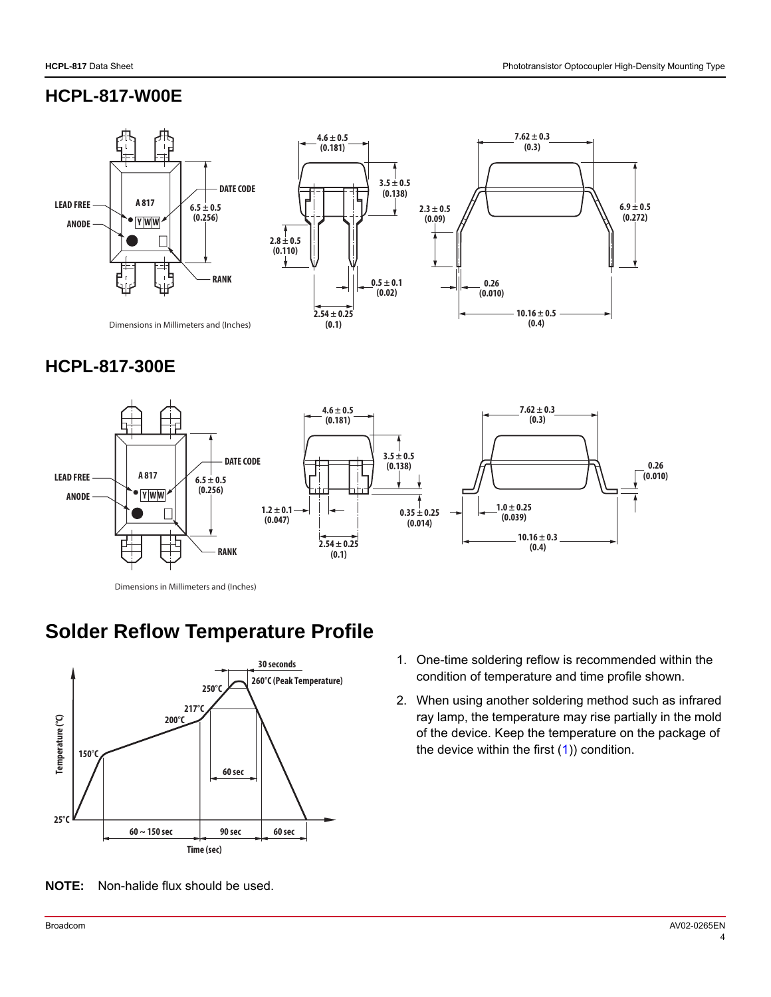#### **HCPL-817-W00E**



#### **HCPL-817-300E**



Dimensions in Millimeters and (Inches)

### **Solder Reflow Temperature Profile**



**NOTE:** Non-halide flux should be used.

- <span id="page-3-0"></span>1. One-time soldering reflow is recommended within the condition of temperature and time profile shown.
- 2. When using another soldering method such as infrared ray lamp, the temperature may rise partially in the mold of the device. Keep the temperature on the package of the device within the first  $(1)$ ) condition.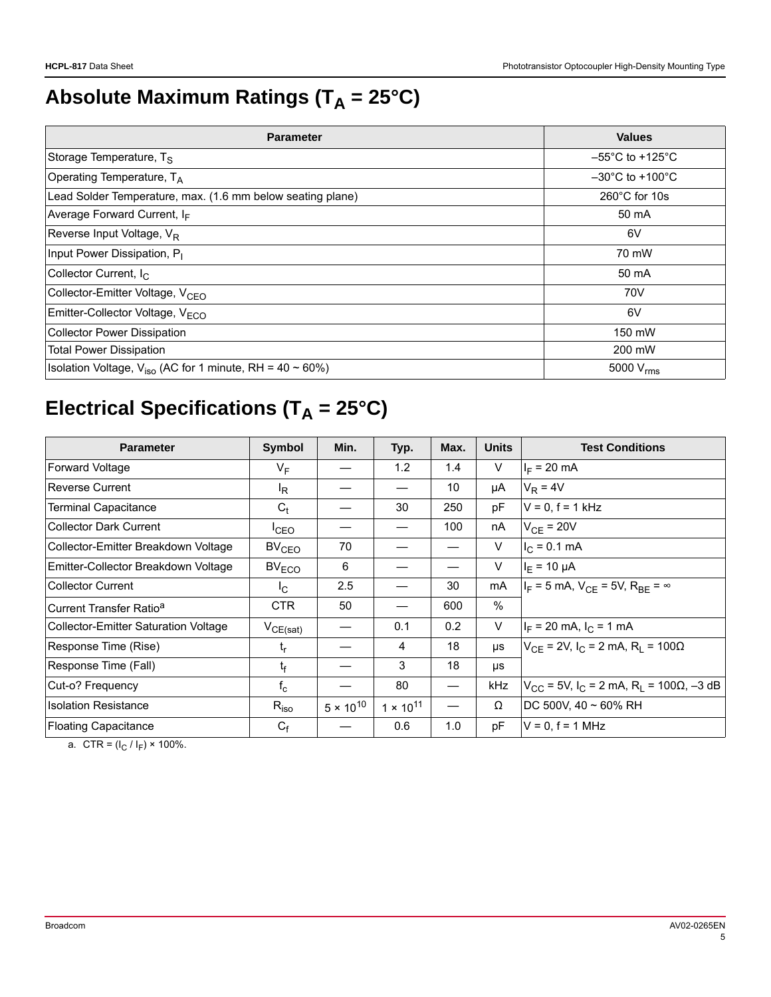# Absolute Maximum Ratings (T<sub>A</sub> = 25°C)

| <b>Parameter</b>                                              | <b>Values</b>                        |  |  |
|---------------------------------------------------------------|--------------------------------------|--|--|
| Storage Temperature, T <sub>S</sub>                           | $-55^{\circ}$ C to +125 $^{\circ}$ C |  |  |
| Operating Temperature, $T_A$                                  | $-30^{\circ}$ C to $+100^{\circ}$ C  |  |  |
| Lead Solder Temperature, max. (1.6 mm below seating plane)    | $260^{\circ}$ C for 10s              |  |  |
| Average Forward Current, IF                                   | 50 mA                                |  |  |
| Reverse Input Voltage, V <sub>R</sub>                         | 6V                                   |  |  |
| Input Power Dissipation, P <sub>I</sub>                       | 70 mW                                |  |  |
| Collector Current, I <sub>C</sub>                             | 50 mA                                |  |  |
| Collector-Emitter Voltage, V <sub>CEO</sub>                   | 70V                                  |  |  |
| Emitter-Collector Voltage, VECO                               | 6V                                   |  |  |
| <b>Collector Power Dissipation</b>                            | 150 mW                               |  |  |
| <b>Total Power Dissipation</b>                                | 200 mW                               |  |  |
| Isolation Voltage, $V_{iso}$ (AC for 1 minute, RH = 40 ~ 60%) | 5000 $V_{\text{rms}}$                |  |  |

# **Electrical Specifications (T<sub>A</sub> = 25°C)**

| <b>Parameter</b>                            | Symbol            | Min.               | Typ.                     | Max. | <b>Units</b> | <b>Test Conditions</b>                                              |
|---------------------------------------------|-------------------|--------------------|--------------------------|------|--------------|---------------------------------------------------------------------|
| <b>Forward Voltage</b>                      | $V_F$             |                    | 1.2                      | 1.4  | V            | $I_F = 20$ mA                                                       |
| <b>Reverse Current</b>                      | ΙŖ                |                    |                          | 10   | μA           | $V_R = 4V$                                                          |
| <b>Terminal Capacitance</b>                 | $C_t$             |                    | 30                       | 250  | pF           | $V = 0, f = 1$ kHz                                                  |
| <b>Collector Dark Current</b>               | ICEO              |                    | $\overline{\phantom{0}}$ | 100  | nA           | $V_{CF}$ = 20V                                                      |
| Collector-Emitter Breakdown Voltage         | BV <sub>CEO</sub> | 70                 |                          |      | V            | $I_C = 0.1$ mA                                                      |
| Emitter-Collector Breakdown Voltage         | $BV_{ECO}$        | 6                  |                          |      | V            | $I_F = 10 \mu A$                                                    |
| <b>Collector Current</b>                    | <sub>IC</sub>     | 2.5                |                          | 30   | mA           | $I_F = 5$ mA, $V_{CF} = 5V$ , $R_{BF} = \infty$                     |
| Current Transfer Ratio <sup>a</sup>         | <b>CTR</b>        | 50                 |                          | 600  | $\%$         |                                                                     |
| <b>Collector-Emitter Saturation Voltage</b> | $V_{CE(sat)}$     |                    | 0.1                      | 0.2  | V            | $I_F$ = 20 mA, $I_C$ = 1 mA                                         |
| Response Time (Rise)                        | $t_{r}$           |                    | 4                        | 18   | μs           | $V_{CE}$ = 2V, I <sub>C</sub> = 2 mA, R <sub>I</sub> = 100 $\Omega$ |
| Response Time (Fall)                        | $t_{\rm f}$       |                    | 3                        | 18   | μs           |                                                                     |
| Cut-o? Frequency                            | $f_c$             |                    | 80                       |      | kHz          | $V_{CC}$ = 5V, I <sub>C</sub> = 2 mA, R <sub>L</sub> = 100Ω, -3 dB  |
| <b>Isolation Resistance</b>                 | $R_{iso}$         | $5 \times 10^{10}$ | $1 \times 10^{11}$       |      | Ω            | DC 500V, $40 \sim 60\%$ RH                                          |
| <b>Floating Capacitance</b>                 | $C_f$             |                    | 0.6                      | 1.0  | pF           | $V = 0$ , $f = 1$ MHz                                               |

a. CTR =  $(I_C / I_F) \times 100\%$ .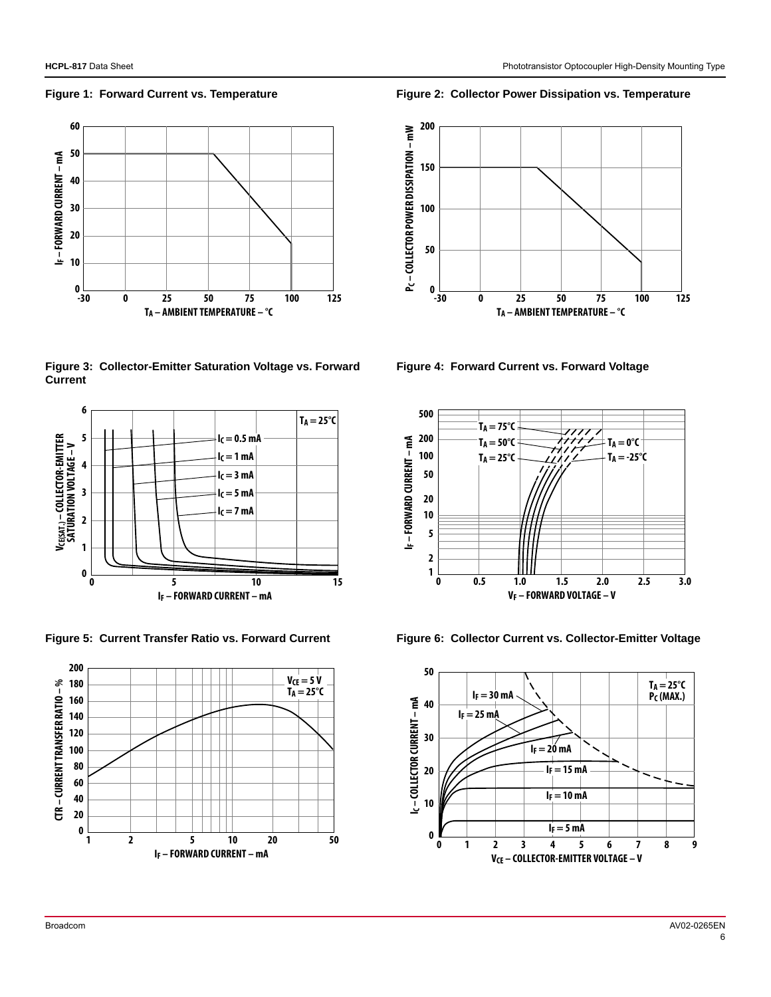

**Figure 3: Collector-Emitter Saturation Voltage vs. Forward Current**





**Figure 1: Forward Current vs. Temperature Figure 2: Collector Power Dissipation vs. Temperature**



**Figure 4: Forward Current vs. Forward Voltage**



Figure 5: Current Transfer Ratio vs. Forward Current Figure 6: Collector Current vs. Collector-Emitter Voltage

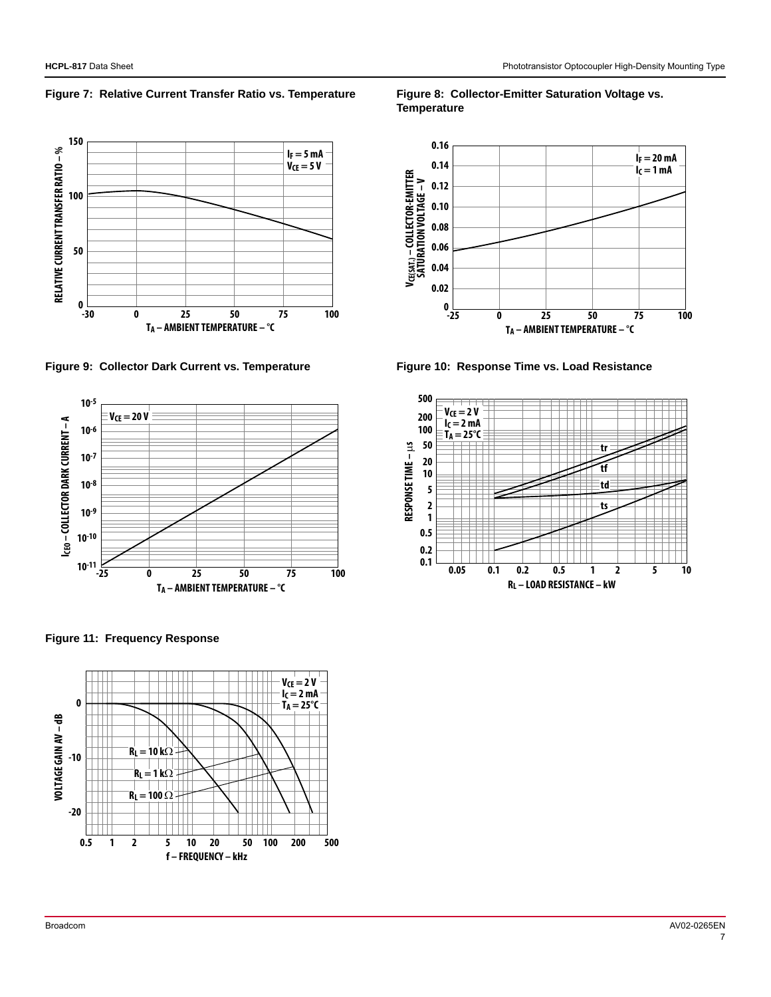Figure 7: Relative Current Transfer Ratio vs. Temperature Figure 8: Collector-Emitter Saturation Voltage vs.



Figure 9: Collector Dark Current vs. Temperature **Figure 10: Response Time vs. Load Resistance** 



**Figure 11: Frequency Response**



**Temperature**



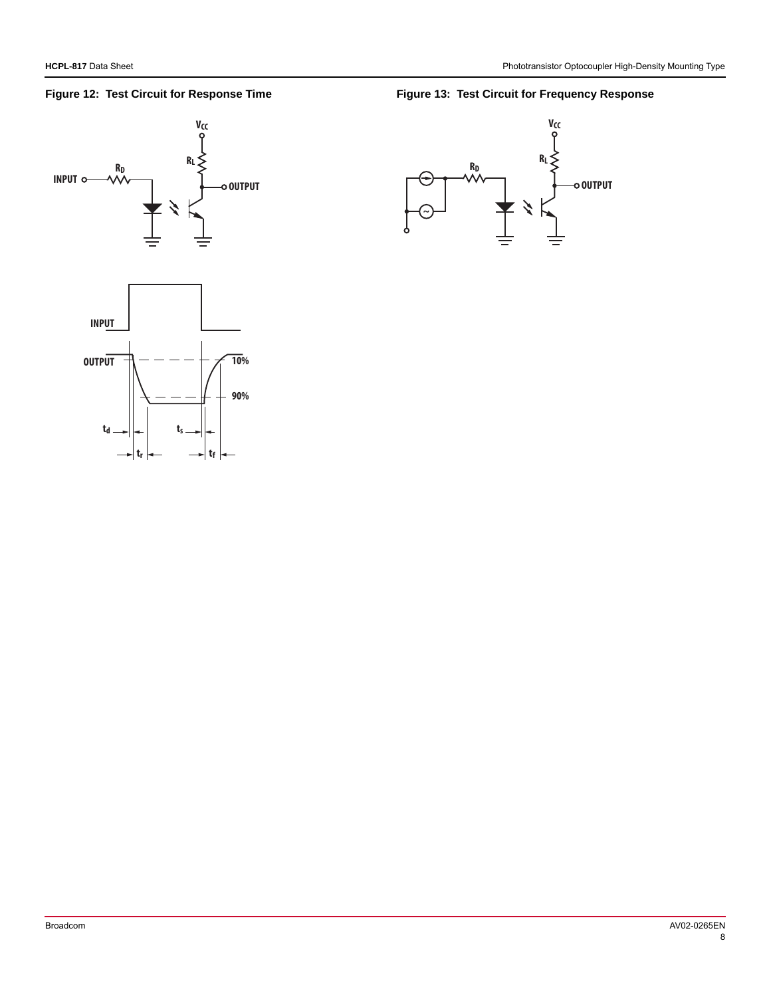**INPUT**

**RD**



#### Figure 12: Test Circuit for Response Time **Figure 13: Test Circuit for Frequency Response**